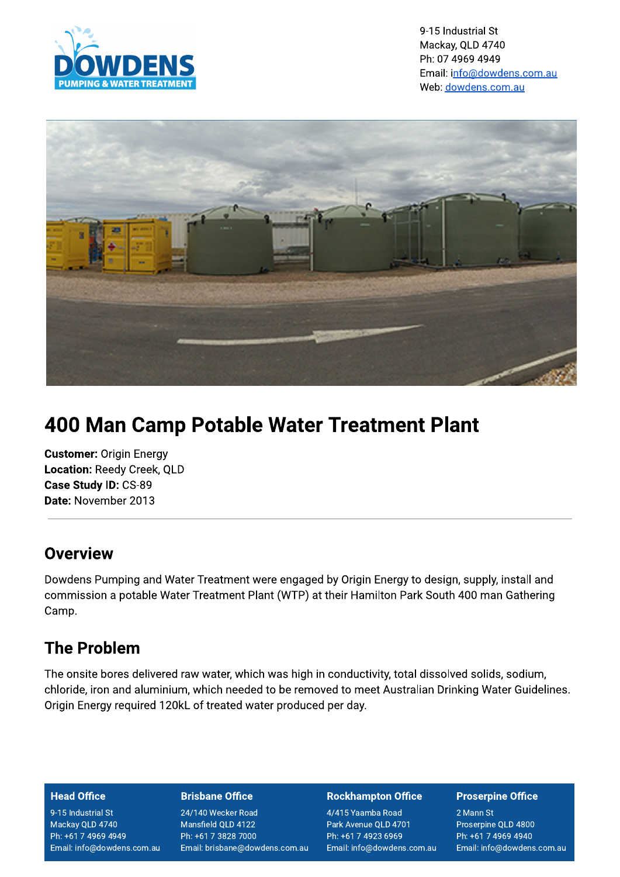

9-15 Industrial St Mackay, QLD 4740 Ph: 07 4969 4949 Email: info@dowdens.com.au Web: dowdens.com.au



# **400 Man Camp Potable Water Treatment Plant**

**Customer: Origin Energy** Location: Reedy Creek, QLD Case Study ID: CS-89 Date: November 2013

### Overview

Dowdens Pumping and Water Treatment were engaged by Origin Energy to design, supply, install and commission a potable Water Treatment Plant (WTP) at their Hamilton Park South 400 man Gathering Camp.

# **The Problem**

The onsite bores delivered raw water, which was high in conductivity, total dissolved solids, sodium, chloride, iron and aluminium, which needed to be removed to meet Australian Drinking Water Guidelines. Origin Energy required 120kL of treated water produced per day.

#### **Head Office**

9-15 Industrial St Mackay QLD 4740 Ph: +61 7 4969 4949 Email: info@dowdens.com.au

#### **Brisbane Office**

24/140 Wecker Road Mansfield QLD 4122 Ph: +61 7 3828 7000 Email: brisbane@dowdens.com.au

#### **Rockhampton Office**

4/415 Yaamba Road Park Avenue QLD 4701 Ph: +61 7 4923 6969 Email: info@dowdens.com.au

#### **Proserpine Office**

2 Mann St Proserpine QLD 4800 Ph: +61 7 4969 4940 Email: info@dowdens.com.au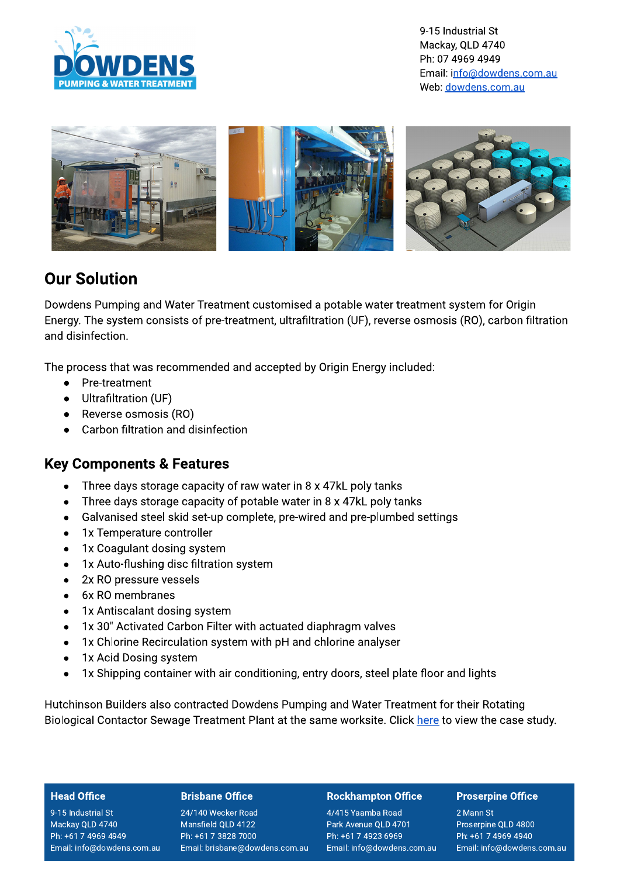

9-15 Industrial St Mackay, QLD 4740 Ph: 07 4969 4949 Email: info@dowdens.com.au Web: dowdens.com.au



## **Our Solution**

Dowdens Pumping and Water Treatment customised a potable water treatment system for Origin Energy. The system consists of pre-treatment, ultrafiltration (UF), reverse osmosis (RO), carbon filtration and disinfection.

The process that was recommended and accepted by Origin Energy included:

- $\bullet$ Pre-treatment
- Ultrafiltration (UF)
- Reverse osmosis (RO)
- Carbon filtration and disinfection

### **Key Components & Features**

- Three days storage capacity of raw water in 8 x 47kL poly tanks  $\bullet$
- Three days storage capacity of potable water in 8 x 47kL poly tanks  $\bullet$
- Galvanised steel skid set-up complete, pre-wired and pre-plumbed settings  $\bullet$
- 1x Temperature controller  $\bullet$
- 1x Coagulant dosing system  $\bullet$
- 1x Auto-flushing disc filtration system  $\bullet$
- 2x RO pressure vessels  $\bullet$
- 6x RO membranes  $\bullet$
- 1x Antiscalant dosing system  $\bullet$
- 1x 30" Activated Carbon Filter with actuated diaphragm valves  $\bullet$
- 1x Chlorine Recirculation system with pH and chlorine analyser  $\bullet$
- 1x Acid Dosing system  $\bullet$
- 1x Shipping container with air conditioning, entry doors, steel plate floor and lights  $\bullet$

Hutchinson Builders also contracted Dowdens Pumping and Water Treatment for their Rotating Biological Contactor Sewage Treatment Plant at the same worksite. Click here to view the case study.

#### **Head Office**

9-15 Industrial St Mackay QLD 4740 Ph: +61 7 4969 4949 Email: info@dowdens.com.au

#### **Brisbane Office**

24/140 Wecker Road Mansfield QLD 4122 Ph: +61 7 3828 7000 Email: brisbane@dowdens.com.au

#### **Rockhampton Office**

4/415 Yaamba Road Park Avenue QLD 4701 Ph: +61 7 4923 6969 Email: info@dowdens.com.au

#### **Proserpine Office**

2 Mann St Proserpine QLD 4800 Ph: +61 7 4969 4940 Email: info@dowdens.com.au